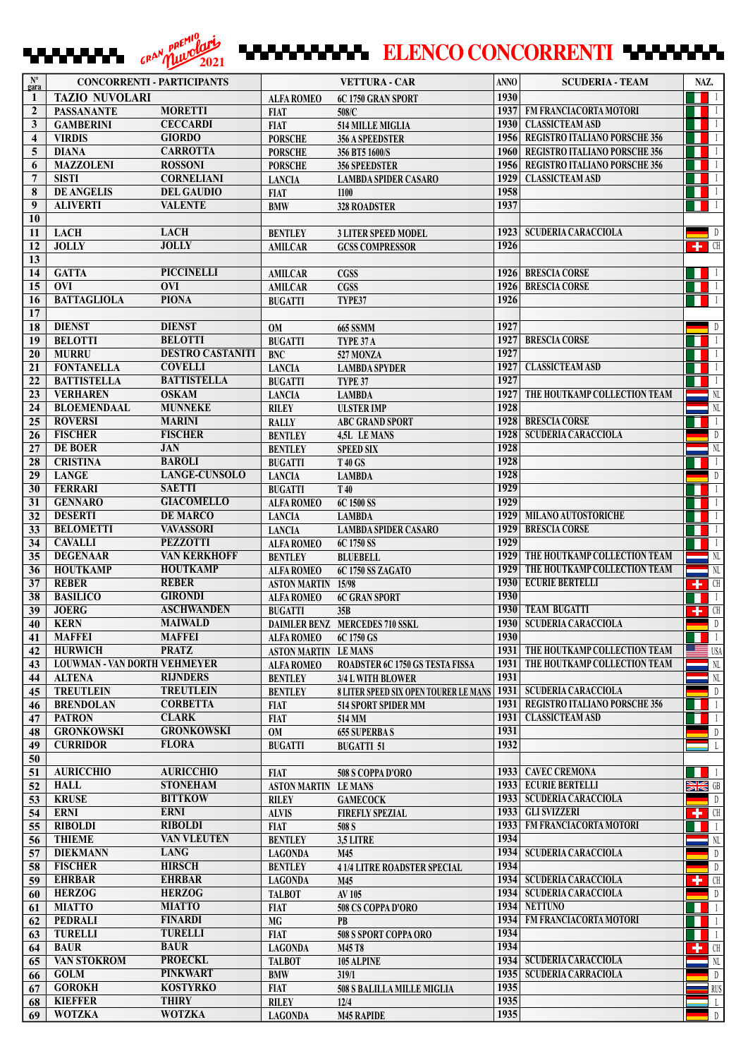## **ELENCO CONCORRENTI ELENCO REPUBLICADE**

| $\mathbf{N}^{\circ}$<br>gara | <b>CONCORRENTI - PARTICIPANTS</b>       |                                           |                                  | <b>VETTURA - CAR</b>                  | <b>ANNO</b>  | <b>SCUDERIA - TEAM</b>               | NAZ.                                                                                                 |
|------------------------------|-----------------------------------------|-------------------------------------------|----------------------------------|---------------------------------------|--------------|--------------------------------------|------------------------------------------------------------------------------------------------------|
| 1                            | <b>TAZIO NUVOLARI</b>                   |                                           | <b>ALFA ROMEO</b>                | 6C 1750 GRAN SPORT                    | 1930         |                                      | $\blacksquare$                                                                                       |
| $\mathbf{2}$                 | <b>PASSANANTE</b>                       | <b>MORETTI</b>                            | <b>FIAT</b>                      | 508/C                                 | 1937         | <b>FM FRANCIACORTA MOTORI</b>        | $\blacksquare$<br>ш                                                                                  |
| 3                            | <b>GAMBERINI</b>                        | <b>CECCARDI</b>                           | <b>FIAT</b>                      | <b>514 MILLE MIGLIA</b>               | 1930         | <b>CLASSICTEAM ASD</b>               | $\blacksquare$                                                                                       |
| $\overline{\bf{4}}$          | <b>VIRDIS</b>                           | <b>GIORDO</b>                             | <b>PORSCHE</b>                   | 356 A SPEEDSTER                       | 1956         | <b>REGISTRO ITALIANO PORSCHE 356</b> | $\blacksquare$                                                                                       |
| 5                            | <b>DIANA</b>                            | <b>CARROTTA</b>                           | <b>PORSCHE</b>                   | 356 BT5 1600/S                        | 1960         | <b>REGISTRO ITALIANO PORSCHE 356</b> | $\blacksquare$                                                                                       |
| 6                            | <b>MAZZOLENI</b>                        | <b>ROSSONI</b>                            | <b>PORSCHE</b>                   | <b>356 SPEEDSTER</b>                  | 1956         | REGISTRO ITALIANO PORSCHE 356        | $\overline{1}$                                                                                       |
| $\overline{7}$               | <b>SISTI</b>                            | <b>CORNELIANI</b>                         | <b>LANCIA</b>                    | <b>LAMBDA SPIDER CASARO</b>           | 1929         | <b>CLASSICTEAM ASD</b>               | $\blacksquare$                                                                                       |
| 8                            | <b>DE ANGELIS</b>                       | <b>DEL GAUDIO</b>                         | <b>FIAT</b>                      | 1100                                  | 1958         |                                      | $\blacksquare$                                                                                       |
| 9                            | <b>ALIVERTI</b>                         | <b>VALENTE</b>                            | <b>BMW</b>                       | <b>328 ROADSTER</b>                   | 1937         |                                      | $\blacksquare$<br>H.                                                                                 |
| 10                           |                                         |                                           |                                  |                                       |              |                                      |                                                                                                      |
| 11                           | <b>LACH</b>                             | <b>LACH</b>                               | <b>BENTLEY</b>                   | <b>3 LITER SPEED MODEL</b>            | 1923         | <b>SCUDERIA CARACCIOLA</b>           | $\sqrt{a}$                                                                                           |
| 12                           | <b>JOLLY</b>                            | <b>JOLLY</b>                              | <b>AMILCAR</b>                   | <b>GCSS COMPRESSOR</b>                | 1926         |                                      | $\left  \cdot \right $ CH                                                                            |
| 13                           |                                         |                                           |                                  |                                       |              |                                      |                                                                                                      |
| 14                           | <b>GATTA</b>                            | <b>PICCINELLI</b>                         | <b>AMILCAR</b>                   | CGSS                                  | 1926         | <b>BRESCIA CORSE</b>                 | $\blacksquare$                                                                                       |
| 15                           | <b>OVI</b>                              | <b>OVI</b>                                | <b>AMILCAR</b>                   | <b>CGSS</b>                           | 1926         | <b>BRESCIA CORSE</b>                 | $\blacksquare$                                                                                       |
| 16                           | <b>BATTAGLIOLA</b>                      | <b>PIONA</b>                              | <b>BUGATTI</b>                   | TYPE37                                | 1926         |                                      | $\mathbf{I}$                                                                                         |
| 17                           | <b>DIENST</b>                           | <b>DIENST</b>                             |                                  |                                       |              |                                      |                                                                                                      |
| 18<br>19                     |                                         | <b>BELOTTI</b>                            | <b>OM</b>                        | 665 SSMM                              | 1927<br>1927 | <b>BRESCIA CORSE</b>                 | D                                                                                                    |
|                              | <b>BELOTTI</b>                          |                                           | <b>BUGATTI</b>                   | TYPE 37 A                             |              |                                      | $\blacksquare$                                                                                       |
| 20                           | <b>MURRU</b>                            | <b>DESTRO CASTANITI</b><br><b>COVELLI</b> | <b>BNC</b>                       | 527 MONZA                             | 1927<br>1927 | <b>CLASSICTEAM ASD</b>               | $\blacksquare$                                                                                       |
| 21<br>22                     | <b>FONTANELLA</b><br><b>BATTISTELLA</b> | <b>BATTISTELLA</b>                        | <b>LANCIA</b>                    | <b>LAMBDA SPYDER</b>                  | 1927         |                                      | $\blacksquare$<br>. .<br>$\blacksquare$                                                              |
| 23                           | <b>VERHAREN</b>                         | <b>OSKAM</b>                              | <b>BUGATTI</b>                   | TYPE 37<br><b>LAMBDA</b>              | 1927         | THE HOUTKAMP COLLECTION TEAM         | $N_{L}$                                                                                              |
| 24                           | <b>BLOEMENDAAL</b>                      | <b>MUNNEKE</b>                            | <b>LANCIA</b><br><b>RILEY</b>    | <b>ULSTER IMP</b>                     | 1928         |                                      | N <sub>L</sub>                                                                                       |
| 25                           | <b>ROVERSI</b>                          | <b>MARINI</b>                             | <b>RALLY</b>                     | <b>ABC GRAND SPORT</b>                | 1928         | <b>BRESCIA CORSE</b>                 | $\blacksquare$                                                                                       |
| 26                           | <b>FISCHER</b>                          | <b>FISCHER</b>                            | <b>BENTLEY</b>                   |                                       | 1928         | <b>SCUDERIA CARACCIOLA</b>           | D                                                                                                    |
| 27                           | DE BOER                                 | <b>JAN</b>                                |                                  | 4,5L LE MANS                          | 1928         |                                      | $\overline{\phantom{a}}$ NL                                                                          |
| 28                           | <b>CRISTINA</b>                         | <b>BAROLI</b>                             | <b>BENTLEY</b><br><b>BUGATTI</b> | <b>SPEED SIX</b>                      | 1928         |                                      | $\vert \vert$                                                                                        |
| 29                           | <b>LANGE</b>                            | <b>LANGE-CUNSOLO</b>                      |                                  | <b>T40 GS</b><br><b>LAMBDA</b>        | 1928         |                                      | $\blacksquare$                                                                                       |
| 30                           | <b>FERRARI</b>                          | <b>SAETTI</b>                             | <b>LANCIA</b><br><b>BUGATTI</b>  | T 40                                  | 1929         |                                      | $\overline{\mathbf{I}}$                                                                              |
| 31                           | <b>GENNARO</b>                          | <b>GIACOMELLO</b>                         | <b>ALFA ROMEO</b>                | 6C 1500 SS                            | 1929         |                                      | $\blacksquare$                                                                                       |
| 32                           | <b>DESERTI</b>                          | <b>DE MARCO</b>                           | <b>LANCIA</b>                    | <b>LAMBDA</b>                         | 1929         | MILANO AUTOSTORICHE                  | $\blacksquare$                                                                                       |
| 33                           | <b>BELOMETTI</b>                        | <b>VAVASSORI</b>                          | <b>LANCIA</b>                    | <b>LAMBDA SPIDER CASARO</b>           | 1929         | <b>BRESCIA CORSE</b>                 | $\blacksquare$                                                                                       |
| 34                           | <b>CAVALLI</b>                          | <b>PEZZOTTI</b>                           | <b>ALFA ROMEO</b>                | 6C 1750 SS                            | 1929         |                                      | $\blacksquare$                                                                                       |
| 35                           | <b>DEGENAAR</b>                         | <b>VAN KERKHOFF</b>                       | <b>BENTLEY</b>                   | <b>BLUEBELL</b>                       | 1929         | THE HOUTKAMP COLLECTION TEAM         | $\overline{\text{NL}}$                                                                               |
| 36                           | <b>HOUTKAMP</b>                         | <b>HOUTKAMP</b>                           | <b>ALFA ROMEO</b>                | 6C 1750 SS ZAGATO                     | 1929         | THE HOUTKAMP COLLECTION TEAM         | $\overline{\phantom{a}}$ NL                                                                          |
| 37                           | <b>REBER</b>                            | <b>REBER</b>                              | <b>ASTON MARTIN</b> 15/98        |                                       | 1930         | <b>ECURIE BERTELLI</b>               | $\begin{array}{ c c c }\n\hline\n\textbf{+} & \textbf{CH} \end{array}$                               |
| 38                           | <b>BASILICO</b>                         | <b>GIRONDI</b>                            | <b>ALFA ROMEO</b>                | <b>6C GRAN SPORT</b>                  | 1930         |                                      | $\blacksquare$<br>H                                                                                  |
| 39                           | <b>JOERG</b>                            | <b>ASCHWANDEN</b>                         | <b>BUGATTI</b>                   | 35B                                   | 1930         | <b>TEAM BUGATTI</b>                  | $\left  \cdot \right $ CH                                                                            |
| 40                           | <b>KERN</b>                             | <b>MAIWALD</b>                            |                                  | <b>DAIMLER BENZ MERCEDES 710 SSKL</b> |              | 1930   SCUDERIA CARACCIOLA           | $\blacksquare$                                                                                       |
| $\overline{41}$              | <b>MAFFEI</b>                           | <b>MAFFEI</b>                             | ALFA ROMEO                       | 6C 1750 GS                            | 1930         |                                      |                                                                                                      |
| 42                           | <b>HURWICH</b>                          | <b>PRATZ</b>                              | <b>ASTON MARTIN LE MANS</b>      |                                       |              | 1931 THE HOUTKAMP COLLECTION TEAM    | $\blacksquare$ USA                                                                                   |
| 43                           | LOUWMAN - VAN DORTH VEHMEYER            |                                           | <b>ALFA ROMEO</b>                | ROADSTER 6C 1750 GS TESTA FISSA       | 1931         | THE HOUTKAMP COLLECTION TEAM         | $\blacksquare$ NL                                                                                    |
| 44                           | <b>ALTENA</b>                           | <b>RIJNDERS</b>                           | <b>BENTLEY</b>                   | 3/4 L WITH BLOWER                     | 1931         |                                      | $\rm NL$                                                                                             |
| 45                           | <b>TREUTLEIN</b>                        | <b>TREUTLEIN</b>                          | <b>BENTLEY</b>                   | 8 LITER SPEED SIX OPEN TOURER LE MANS | 1931         | <b>SCUDERIA CARACCIOLA</b>           | $\mathbb D$                                                                                          |
| 46                           | <b>BRENDOLAN</b>                        | <b>CORBETTA</b>                           | <b>FIAT</b>                      | 514 SPORT SPIDER MM                   | 1931         | REGISTRO ITALIANO PORSCHE 356        | $\mathbf{I}$                                                                                         |
| 47                           | <b>PATRON</b>                           | <b>CLARK</b>                              | <b>FIAT</b>                      | 514 MM                                | 1931         | <b>CLASSICTEAM ASD</b>               | $\blacksquare$                                                                                       |
| 48                           | <b>GRONKOWSKI</b>                       | <b>GRONKOWSKI</b>                         | <b>OM</b>                        | <b>655 SUPERBAS</b>                   | 1931         |                                      | D                                                                                                    |
| 49                           | <b>CURRIDOR</b>                         | <b>FLORA</b>                              | <b>BUGATTI</b>                   | <b>BUGATTI 51</b>                     | 1932         |                                      | $\blacksquare$                                                                                       |
| 50                           |                                         |                                           |                                  |                                       |              |                                      |                                                                                                      |
| 51                           | <b>AURICCHIO</b>                        | <b>AURICCHIO</b>                          | <b>FIAT</b>                      | 508 S COPPA D'ORO                     |              | 1933 CAVEC CREMONA                   | $\mathbf{L}$                                                                                         |
| 52                           | <b>HALL</b>                             | <b>STONEHAM</b>                           | <b>ASTON MARTIN LE MANS</b>      |                                       |              | 1933 ECURIE BERTELLI                 | SK OB                                                                                                |
| 53                           | <b>KRUSE</b>                            | <b>BITTKOW</b>                            | <b>RILEY</b>                     | <b>GAMECOCK</b>                       | 1933         | <b>SCUDERIA CARACCIOLA</b>           | D                                                                                                    |
| 54                           | <b>ERNI</b>                             | <b>ERNI</b>                               | <b>ALVIS</b>                     | <b>FIREFLY SPEZIAL</b>                | 1933         | <b>GLI SVIZZERI</b>                  | $\begin{array}{cc} \begin{array}{cc} \text{-} \\ \text{-} \\ \text{-} \\ \end{array} \end{array}$ CH |
| 55                           | <b>RIBOLDI</b>                          | <b>RIBOLDI</b>                            | <b>FIAT</b>                      | 508 S                                 | 1933         | FM FRANCIACORTA MOTORI               | ш<br>$\blacksquare$                                                                                  |
| 56                           | <b>THIEME</b>                           | <b>VAN VLEUTEN</b>                        | <b>BENTLEY</b>                   | 3,5 LITRE                             | 1934         |                                      | $\rm NL$                                                                                             |
| 57                           | <b>DIEKMANN</b>                         | <b>LANG</b>                               | <b>LAGONDA</b>                   | M45                                   | 1934         | <b>SCUDERIA CARACCIOLA</b>           | $\mathbb D$                                                                                          |
| 58                           | <b>FISCHER</b>                          | <b>HIRSCH</b>                             | <b>BENTLEY</b>                   | <b>41/4 LITRE ROADSTER SPECIAL</b>    | 1934         |                                      | $\mathbb D$                                                                                          |
| 59                           | <b>EHRBAR</b>                           | <b>EHRBAR</b>                             | <b>LAGONDA</b>                   | M45                                   | 1934         | <b>SCUDERIA CARACCIOLA</b>           | $\leftarrow$ CH                                                                                      |
| 60                           | <b>HERZOG</b>                           | <b>HERZOG</b>                             | <b>TALBOT</b>                    | AV 105                                | 1934         | <b>SCUDERIA CARACCIOLA</b>           | $\Box$                                                                                               |
| 61                           | <b>MIATTO</b>                           | <b>MIATTO</b>                             | <b>FIAT</b>                      | 508 CS COPPA D'ORO                    | 1934         | <b>NETTUNO</b>                       | Ш<br>$\blacksquare$                                                                                  |
| 62                           | <b>PEDRALI</b>                          | <b>FINARDI</b>                            | MG                               | <b>PB</b>                             | 1934         | FM FRANCIACORTA MOTORI               | $\blacksquare$                                                                                       |
| 63                           | <b>TURELLI</b>                          | <b>TURELLI</b>                            | <b>FIAT</b>                      | 508 S SPORT COPPA ORO                 | 1934         |                                      | $\blacksquare$                                                                                       |
| 64                           | <b>BAUR</b>                             | <b>BAUR</b>                               | <b>LAGONDA</b>                   | M45 T8                                | 1934         |                                      | $\left  \frac{1}{2} \right $ CH                                                                      |
| 65                           | <b>VAN STOKROM</b>                      | <b>PROECKL</b>                            | <b>TALBOT</b>                    | 105 ALPINE                            | 1934         | <b>SCUDERIA CARACCIOLA</b>           | $\blacksquare$ NL                                                                                    |
| 66                           | <b>GOLM</b>                             | <b>PINKWART</b>                           | <b>BMW</b>                       | 319/1                                 | 1935         | <b>SCUDERIA CARRACIOLA</b>           | $\mathbb D$                                                                                          |
| 67                           | <b>GOROKH</b>                           | <b>KOSTYRKO</b>                           | <b>FIAT</b>                      | 508 S BALILLA MILLE MIGLIA            | 1935         |                                      | RUS                                                                                                  |
| 68                           | <b>KIEFFER</b>                          | <b>THIRY</b>                              | <b>RILEY</b>                     | 12/4                                  | 1935         |                                      | $\blacksquare$                                                                                       |
| 69                           | <b>WOTZKA</b>                           | <b>WOTZKA</b>                             | <b>LAGONDA</b>                   | <b>M45 RAPIDE</b>                     | 1935         |                                      | $\mathbb D$                                                                                          |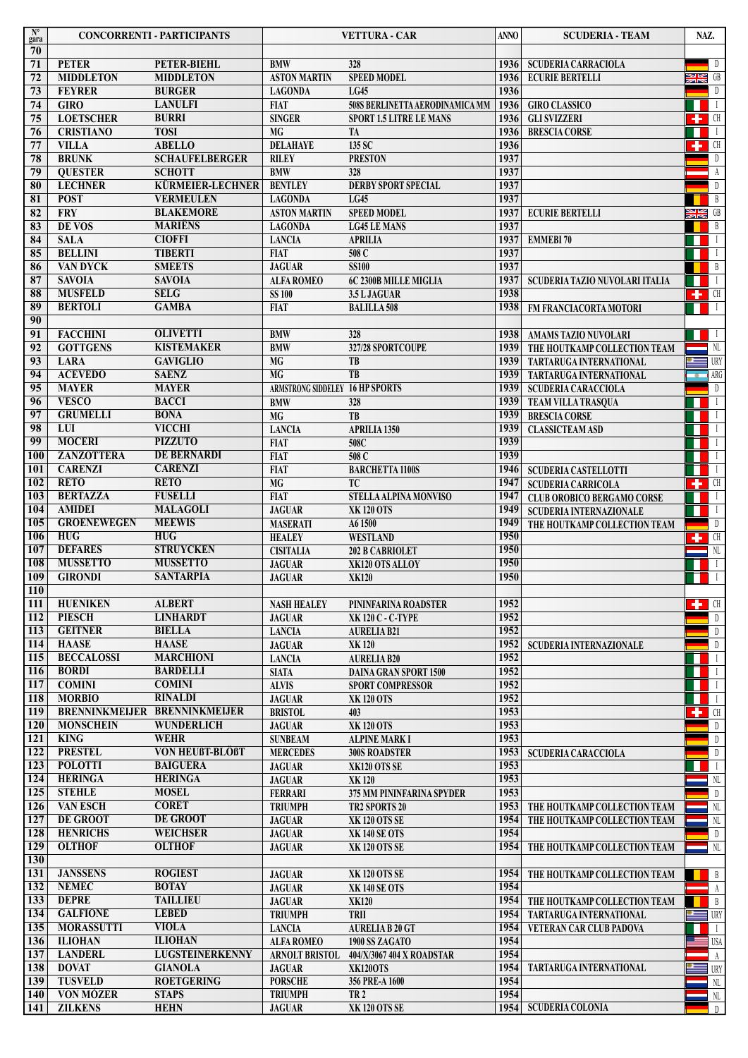| $N^{\circ}$<br>gara     | <b>CONCORRENTI - PARTICIPANTS</b>  |                             | <b>VETTURA - CAR</b>            |                                           | <b>ANNO</b>  | <b>SCUDERIA - TEAM</b>            | NAZ.         |                                                                                                                                                                                                                                                                                                                                                                                                                                                           |
|-------------------------|------------------------------------|-----------------------------|---------------------------------|-------------------------------------------|--------------|-----------------------------------|--------------|-----------------------------------------------------------------------------------------------------------------------------------------------------------------------------------------------------------------------------------------------------------------------------------------------------------------------------------------------------------------------------------------------------------------------------------------------------------|
| 70<br>71                | <b>PETER</b>                       | PETER-BIEHL                 | <b>BMW</b>                      | 328                                       | 1936         | <b>SCUDERIA CARRACIOLA</b>        |              | $\overline{D}$                                                                                                                                                                                                                                                                                                                                                                                                                                            |
| 72                      | <b>MIDDLETON</b>                   | <b>MIDDLETON</b>            | <b>ASTON MARTIN</b>             | <b>SPEED MODEL</b>                        | 1936         | <b>ECURIE BERTELLI</b>            | <b>SK</b> OR |                                                                                                                                                                                                                                                                                                                                                                                                                                                           |
| 73                      | <b>FEYRER</b>                      | <b>BURGER</b>               | <b>LAGONDA</b>                  | LG45                                      | 1936         |                                   |              | $\n  D\n$                                                                                                                                                                                                                                                                                                                                                                                                                                                 |
| 74                      | <b>GIRO</b>                        | <b>LANULFI</b>              | <b>FIAT</b>                     | 508S BERLINETTA AERODINAMICA MM           | 1936         | <b>GIRO CLASSICO</b>              | H            | $\blacksquare$                                                                                                                                                                                                                                                                                                                                                                                                                                            |
| 75                      | <b>LOETSCHER</b>                   | <b>BURRI</b>                | <b>SINGER</b>                   | <b>SPORT 1.5 LITRE LE MANS</b>            | 1936         | <b>GLI SVIZZERI</b>               |              | $\begin{array}{ c c c c }\n\hline\n\textbf{--} & \textbf{--} & \textbf{--} \\ \hline\n\textbf{--} & \textbf{--} & \textbf{--} & \textbf{--} \\ \hline\n\textbf{--} & \textbf{--} & \textbf{--} & \textbf{--} \\ \hline\n\textbf{--} & \textbf{--} & \textbf{--} & \textbf{--} \\ \hline\n\textbf{--} & \textbf{--} & \textbf{--} & \textbf{--} \\ \hline\n\textbf{--} & \textbf{--} & \textbf{--} & \textbf{--} \\ \hline\n\textbf{--} & \textbf{--} & \$ |
| 76                      | <b>CRISTIANO</b>                   | <b>TOSI</b>                 | MG                              | TA                                        | 1936         | <b>BRESCIA CORSE</b>              | 11           | $\blacksquare$                                                                                                                                                                                                                                                                                                                                                                                                                                            |
| 77                      | <b>VILLA</b>                       | <b>ABELLO</b>               | <b>DELAHAYE</b>                 | 135 SC                                    | 1936         |                                   |              | $\begin{array}{ c c c }\n\hline\n\hline\n\end{array}$ CH                                                                                                                                                                                                                                                                                                                                                                                                  |
| 78                      | <b>BRUNK</b>                       | <b>SCHAUFELBERGER</b>       | <b>RILEY</b>                    | <b>PRESTON</b>                            | 1937         |                                   |              | D                                                                                                                                                                                                                                                                                                                                                                                                                                                         |
| 79                      | <b>QUESTER</b>                     | <b>SCHOTT</b>               | <b>BMW</b>                      | 328                                       | 1937         |                                   |              | A                                                                                                                                                                                                                                                                                                                                                                                                                                                         |
| 80                      | <b>LECHNER</b>                     | KÜRMEIER-LECHNER            | <b>BENTLEY</b>                  | <b>DERBY SPORT SPECIAL</b>                | 1937         |                                   |              | D                                                                                                                                                                                                                                                                                                                                                                                                                                                         |
| $\overline{\bf 81}$     | <b>POST</b>                        | <b>VERMEULEN</b>            | <b>LAGONDA</b>                  | LG45                                      | 1937         |                                   |              | $\overline{B}$                                                                                                                                                                                                                                                                                                                                                                                                                                            |
| 82                      | <b>FRY</b>                         | <b>BLAKEMORE</b>            | <b>ASTON MARTIN</b>             | <b>SPEED MODEL</b>                        | 1937         | <b>ECURIE BERTELLI</b>            | M            |                                                                                                                                                                                                                                                                                                                                                                                                                                                           |
| 83                      | DE VOS                             | <b>MARIËNS</b>              | <b>LAGONDA</b>                  | <b>LG45 LE MANS</b>                       | 1937         |                                   |              | $\mathbf{B}$                                                                                                                                                                                                                                                                                                                                                                                                                                              |
| 84                      | <b>SALA</b>                        | <b>CIOFFI</b>               | <b>LANCIA</b>                   | <b>APRILIA</b>                            | 1937         | <b>EMMEBI 70</b>                  | H            | $\Box$                                                                                                                                                                                                                                                                                                                                                                                                                                                    |
| 85                      | <b>BELLINI</b>                     | <b>TIBERTI</b>              | <b>FIAT</b>                     | 508C                                      | 1937         |                                   |              | <b>THEFT</b>                                                                                                                                                                                                                                                                                                                                                                                                                                              |
| 86                      | <b>VAN DYCK</b>                    | <b>SMEETS</b>               | <b>JAGUAR</b>                   | <b>SS100</b>                              | 1937         |                                   |              | $\blacksquare$ B                                                                                                                                                                                                                                                                                                                                                                                                                                          |
| 87                      | <b>SAVOIA</b>                      | <b>SAVOIA</b>               | <b>ALFA ROMEO</b>               | 6C 2300B MILLE MIGLIA                     | 1937         | SCUDERIA TAZIO NUVOLARI ITALIA    |              | $\Box$                                                                                                                                                                                                                                                                                                                                                                                                                                                    |
| 88                      | <b>MUSFELD</b>                     | <b>SELG</b>                 | <b>SS 100</b>                   | 3.5 L JAGUAR                              | 1938         |                                   |              | $\left  \begin{array}{cc} \text{H} & \text{H} \\ \text{H} & \text{H} \end{array} \right $                                                                                                                                                                                                                                                                                                                                                                 |
| 89<br>90                | <b>BERTOLI</b>                     | <b>GAMBA</b>                | <b>FIAT</b>                     | <b>BALILLA 508</b>                        | 1938         | FM FRANCIACORTA MOTORI            |              | $\Box$                                                                                                                                                                                                                                                                                                                                                                                                                                                    |
| 91                      | <b>FACCHINI</b>                    | <b>OLIVETTI</b>             | <b>BMW</b>                      | 328                                       | 1938         | AMAMS TAZIO NUVOLARI              |              |                                                                                                                                                                                                                                                                                                                                                                                                                                                           |
| 92                      | <b>GOTTGENS</b>                    | <b>KISTEMAKER</b>           | <b>BMW</b>                      | 327/28 SPORTCOUPE                         | 1939         | THE HOUTKAMP COLLECTION TEAM      |              | NL                                                                                                                                                                                                                                                                                                                                                                                                                                                        |
| $\overline{93}$         | <b>LARA</b>                        | <b>GAVIGLIO</b>             | <b>MG</b>                       | TB                                        | 1939         | TARTARUGA INTERNATIONAL           |              | $\equiv$ URY                                                                                                                                                                                                                                                                                                                                                                                                                                              |
| 94                      | <b>ACEVEDO</b>                     | <b>SAENZ</b>                | <b>MG</b>                       | T <sub>B</sub>                            | 1939         | TARTARUGA INTERNATIONAL           | $\bullet$    | ARG                                                                                                                                                                                                                                                                                                                                                                                                                                                       |
| 95                      | <b>MAYER</b>                       | <b>MAYER</b>                | ARMSTRONG SIDDELEY 16 HP SPORTS |                                           | 1939         | SCUDERIA CARACCIOLA               |              | D                                                                                                                                                                                                                                                                                                                                                                                                                                                         |
| 96                      | <b>VESCO</b>                       | <b>BACCI</b>                | <b>BMW</b>                      | 328                                       | 1939         | TEAM VILLA TRASQUA                |              | $\Box$                                                                                                                                                                                                                                                                                                                                                                                                                                                    |
| 97                      | <b>GRUMELLI</b>                    | <b>BONA</b>                 | <b>MG</b>                       | TB                                        | 1939         | <b>BRESCIA CORSE</b>              |              | $\mathbf{I}$                                                                                                                                                                                                                                                                                                                                                                                                                                              |
| 98                      | LUI                                | <b>VICCHI</b>               | <b>LANCIA</b>                   | APRILIA 1350                              | 1939         | <b>CLASSICTEAM ASD</b>            |              | $\Box$                                                                                                                                                                                                                                                                                                                                                                                                                                                    |
| 99                      | <b>MOCERI</b>                      | <b>PIZZUTO</b>              | <b>FIAT</b>                     | 508C                                      | 1939         |                                   | ш            | $\Box$                                                                                                                                                                                                                                                                                                                                                                                                                                                    |
| <b>100</b>              | <b>ZANZOTTERA</b>                  | <b>DE BERNARDI</b>          | <b>FIAT</b>                     | 508 C                                     | 1939         |                                   |              | <b>THEFT</b>                                                                                                                                                                                                                                                                                                                                                                                                                                              |
| <b>101</b>              | <b>CARENZI</b>                     | <b>CARENZI</b>              | <b>FIAT</b>                     | <b>BARCHETTA 1100S</b>                    | 1946         | <b>SCUDERIA CASTELLOTTI</b>       |              | $\tilde{I}$                                                                                                                                                                                                                                                                                                                                                                                                                                               |
| 102                     | <b>RETO</b>                        | <b>RETO</b>                 | MG                              | TC                                        | 1947         | <b>SCUDERIA CARRICOLA</b>         |              | $\begin{array}{ c c c }\n\hline\n\textbf{L} & \textbf{C}\textbf{H}\n\end{array}$                                                                                                                                                                                                                                                                                                                                                                          |
| 103                     | <b>BERTAZZA</b>                    | <b>FUSELLI</b>              | <b>FIAT</b>                     | STELLA ALPINA MONVISO                     | 1947         | <b>CLUB OROBICO BERGAMO CORSE</b> | 11           | $\Box$                                                                                                                                                                                                                                                                                                                                                                                                                                                    |
| <b>104</b>              | <b>AMIDEI</b>                      | <b>MALAGOLI</b>             | <b>JAGUAR</b>                   | <b>XK120 OTS</b>                          | 1949         | SCUDERIA INTERNAZIONALE           | H            | $\mathbf{I}$                                                                                                                                                                                                                                                                                                                                                                                                                                              |
| 105                     | <b>GROENEWEGEN</b>                 | <b>MEEWIS</b>               | <b>MASERATI</b>                 | A6 1500                                   | 1949         | THE HOUTKAMP COLLECTION TEAM      |              | $\Box$                                                                                                                                                                                                                                                                                                                                                                                                                                                    |
| <b>106</b>              | <b>HUG</b>                         | <b>HUG</b>                  | <b>HEALEY</b>                   | <b>WESTLAND</b>                           | 1950         |                                   |              | $\begin{array}{ c c c }\n\hline\n\textbf{+} & \textbf{CH} \n\end{array}$                                                                                                                                                                                                                                                                                                                                                                                  |
| <b>107</b>              | <b>DEFARES</b>                     | <b>STRUYCKEN</b>            | <b>CISITALIA</b>                | 202 B CABRIOLET                           | 1950         |                                   |              | NL                                                                                                                                                                                                                                                                                                                                                                                                                                                        |
| <b>108</b>              | <b>MUSSETTO</b>                    | <b>MUSSETTO</b>             | <b>JAGUAR</b>                   | XK120 OTS ALLOY                           | 1950         |                                   |              | $\Box$                                                                                                                                                                                                                                                                                                                                                                                                                                                    |
| 109<br>$\overline{110}$ | <b>GIRONDI</b>                     | <b>SANTARPIA</b>            | <b>JAGUAR</b>                   | <b>XK120</b>                              | 1950         |                                   |              | $\perp$                                                                                                                                                                                                                                                                                                                                                                                                                                                   |
| $\overline{111}$        | <b>HUENIKEN</b>                    | <b>ALBERT</b>               | <b>NASH HEALEY</b>              |                                           | 1952         |                                   |              | $\left  \cdot \right $ CH                                                                                                                                                                                                                                                                                                                                                                                                                                 |
| <b>112</b>              | <b>PIESCH</b>                      | <b>LINHARDT</b>             | <b>JAGUAR</b>                   | PININFARINA ROADSTER<br>XK 120 C - C-TYPE | 1952         |                                   |              | $\mathbb{D}$                                                                                                                                                                                                                                                                                                                                                                                                                                              |
| 113                     | <b>GEITNER</b>                     | <b>BIELLA</b>               | <b>LANCIA</b>                   | <b>AURELIA B21</b>                        | 1952         |                                   |              | D                                                                                                                                                                                                                                                                                                                                                                                                                                                         |
| 114                     | <b>HAASE</b>                       | <b>HAASE</b>                | <b>JAGUAR</b>                   | XK 120                                    | 1952         | <b>SCUDERIA INTERNAZIONALE</b>    |              | D                                                                                                                                                                                                                                                                                                                                                                                                                                                         |
| 115                     | <b>BECCALOSSI</b>                  | <b>MARCHIONI</b>            | <b>LANCIA</b>                   | <b>AURELIA B20</b>                        | 1952         |                                   | Ш            | $\perp$                                                                                                                                                                                                                                                                                                                                                                                                                                                   |
| 116                     | <b>BORDI</b>                       | <b>BARDELLI</b>             | <b>SIATA</b>                    | <b>DAINA GRAN SPORT 1500</b>              | 1952         |                                   | . .          | $\Box$                                                                                                                                                                                                                                                                                                                                                                                                                                                    |
| 117                     | <b>COMINI</b>                      | <b>COMINI</b>               | <b>ALVIS</b>                    | <b>SPORT COMPRESSOR</b>                   | 1952         |                                   | H            | $\Box$                                                                                                                                                                                                                                                                                                                                                                                                                                                    |
| 118                     | <b>MORBIO</b>                      | <b>RINALDI</b>              | <b>JAGUAR</b>                   | <b>XK120 OTS</b>                          | 1952         |                                   | w            | $\mathbf{I}$                                                                                                                                                                                                                                                                                                                                                                                                                                              |
| 119                     | BRENNINKMEIJER BRENNINKMEIJER      |                             | <b>BRISTOL</b>                  | 403                                       | 1953         |                                   |              | $\leftarrow$ CH                                                                                                                                                                                                                                                                                                                                                                                                                                           |
| 120                     | <b>MONSCHEIN</b>                   | <b>WUNDERLICH</b>           | <b>JAGUAR</b>                   | <b>XK120 OTS</b>                          | 1953         |                                   |              | $\n  D\n$                                                                                                                                                                                                                                                                                                                                                                                                                                                 |
| 121                     | <b>KING</b>                        | <b>WEHR</b>                 | <b>SUNBEAM</b>                  | <b>ALPINE MARK I</b>                      | 1953         |                                   |              | D                                                                                                                                                                                                                                                                                                                                                                                                                                                         |
| <b>122</b>              | <b>PRESTEL</b>                     | <b>VON HEUßT-BLÖßT</b>      | <b>MERCEDES</b>                 | <b>300S ROADSTER</b>                      | 1953         | <b>SCUDERIA CARACCIOLA</b>        |              | $\n  D\n$                                                                                                                                                                                                                                                                                                                                                                                                                                                 |
| $123$                   | <b>POLOTTI</b>                     | <b>BAIGUERA</b>             | <b>JAGUAR</b>                   | XK120 OTS SE                              | 1953         |                                   |              | $\perp$                                                                                                                                                                                                                                                                                                                                                                                                                                                   |
| 124                     | <b>HERINGA</b>                     | <b>HERINGA</b>              | <b>JAGUAR</b>                   | <b>XK120</b>                              | 1953         |                                   |              | $\rm NL$                                                                                                                                                                                                                                                                                                                                                                                                                                                  |
| $\overline{125}$        | <b>STEHLE</b>                      | <b>MOSEL</b>                | <b>FERRARI</b>                  | 375 MM PININFARINA SPYDER                 | 1953         |                                   |              | $\mathbb{D}$                                                                                                                                                                                                                                                                                                                                                                                                                                              |
| 126                     | <b>VAN ESCH</b>                    | <b>CORET</b>                | <b>TRIUMPH</b>                  | TR2 SPORTS 20                             | 1953         | THE HOUTKAMP COLLECTION TEAM      |              | NL                                                                                                                                                                                                                                                                                                                                                                                                                                                        |
| 127<br>128              | <b>DE GROOT</b><br><b>HENRICHS</b> | DE GROOT<br><b>WEICHSER</b> | <b>JAGUAR</b>                   | <b>XK 120 OTS SE</b>                      | 1954<br>1954 | THE HOUTKAMP COLLECTION TEAM      |              | NL                                                                                                                                                                                                                                                                                                                                                                                                                                                        |
| <b>129</b>              | <b>OLTHOF</b>                      | <b>OLTHOF</b>               | <b>JAGUAR</b>                   | <b>XK 140 SE OTS</b>                      | 1954         |                                   |              | D                                                                                                                                                                                                                                                                                                                                                                                                                                                         |
| <b>130</b>              |                                    |                             | <b>JAGUAR</b>                   | <b>XK 120 OTS SE</b>                      |              | THE HOUTKAMP COLLECTION TEAM      |              | N <sub>L</sub>                                                                                                                                                                                                                                                                                                                                                                                                                                            |
| 131                     | <b>JANSSENS</b>                    | <b>ROGIEST</b>              | <b>JAGUAR</b>                   | <b>XK 120 OTS SE</b>                      | 1954         | THE HOUTKAMP COLLECTION TEAM      |              | B                                                                                                                                                                                                                                                                                                                                                                                                                                                         |
| $\boxed{132}$           | <b>NEMEC</b>                       | <b>BOTAY</b>                | <b>JAGUAR</b>                   | <b>XK 140 SE OTS</b>                      | 1954         |                                   |              | A                                                                                                                                                                                                                                                                                                                                                                                                                                                         |
| <b>133</b>              | <b>DEPRE</b>                       | <b>TAILLIEU</b>             | <b>JAGUAR</b>                   | <b>XK120</b>                              | 1954         | THE HOUTKAMP COLLECTION TEAM      |              | $\overline{B}$                                                                                                                                                                                                                                                                                                                                                                                                                                            |
| 134                     | <b>GALFIONE</b>                    | <b>LEBED</b>                | <b>TRIUMPH</b>                  | TRII                                      | 1954         | TARTARUGA INTERNATIONAL           |              | URY                                                                                                                                                                                                                                                                                                                                                                                                                                                       |
| $\overline{135}$        | <b>MORASSUTTI</b>                  | <b>VIOLA</b>                | <b>LANCIA</b>                   | <b>AURELIA B 20 GT</b>                    | 1954         | VETERAN CAR CLUB PADOVA           |              |                                                                                                                                                                                                                                                                                                                                                                                                                                                           |
| 136                     | <b>ILIOHAN</b>                     | <b>ILIOHAN</b>              | <b>ALFA ROMEO</b>               | 1900 SS ZAGATO                            | 1954         |                                   |              | USA                                                                                                                                                                                                                                                                                                                                                                                                                                                       |
| 137                     | <b>LANDERL</b>                     | LUGSTEINERKENNY             | <b>ARNOLT BRISTOL</b>           | 404/X/3067 404 X ROADSTAR                 | 1954         |                                   |              | A                                                                                                                                                                                                                                                                                                                                                                                                                                                         |
| 138                     | <b>DOVAT</b>                       | <b>GIANOLA</b>              | <b>JAGUAR</b>                   | <b>XK120OTS</b>                           | 1954         | TARTARUGA INTERNATIONAL           |              | <b>URY</b>                                                                                                                                                                                                                                                                                                                                                                                                                                                |
| 139                     | <b>TUSVELD</b>                     | <b>ROETGERING</b>           | <b>PORSCHE</b>                  | 356 PRE-A 1600                            | 1954         |                                   |              | $\rm ML$                                                                                                                                                                                                                                                                                                                                                                                                                                                  |
| 140                     | <b>VON MÓZER</b>                   | <b>STAPS</b>                | <b>TRIUMPH</b>                  | <b>TR2</b>                                | 1954         |                                   |              | NL                                                                                                                                                                                                                                                                                                                                                                                                                                                        |
| 141                     | <b>ZILKENS</b>                     | <b>HEHN</b>                 | <b>JAGUAR</b>                   | <b>XK120 OTS SE</b>                       | 1954         | <b>SCUDERIA COLONIA</b>           |              | D                                                                                                                                                                                                                                                                                                                                                                                                                                                         |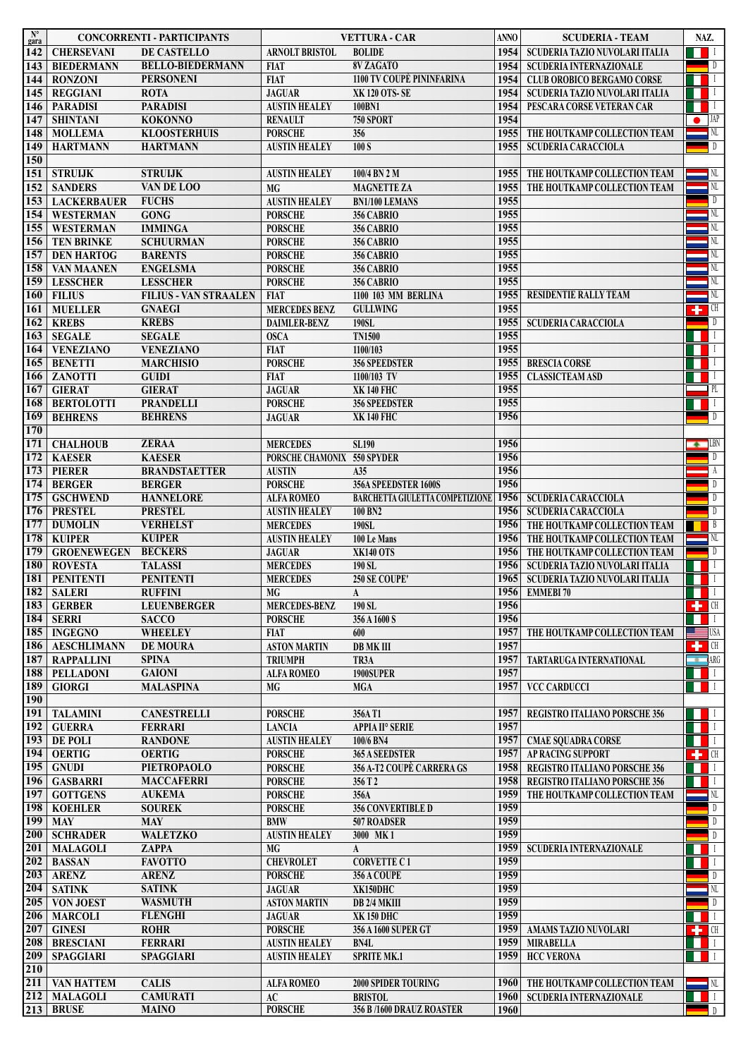| $\mathbf{N}^{\circ}$<br>gara | <b>CONCORRENTI - PARTICIPANTS</b>  |                                                 | <b>VETTURA - CAR</b>                   |                                                                | <b>ANNO</b>  | <b>SCUDERIA - TEAM</b>                |                                                                                                                                            | NAZ.                                                                   |  |
|------------------------------|------------------------------------|-------------------------------------------------|----------------------------------------|----------------------------------------------------------------|--------------|---------------------------------------|--------------------------------------------------------------------------------------------------------------------------------------------|------------------------------------------------------------------------|--|
| 142                          | <b>CHERSEVANI</b>                  | DE CASTELLO                                     | <b>ARNOLT BRISTOL</b>                  | <b>BOLIDE</b>                                                  | 1954         | <b>SCUDERIA TAZIO NUVOLARI ITALIA</b> |                                                                                                                                            | $\mathsf{L}$                                                           |  |
| 143                          | <b>BIEDERMANN</b>                  | <b>BELLO-BIEDERMANN</b>                         | <b>FIAT</b>                            | 8V ZAGATO                                                      | 1954         | <b>SCUDERIA INTERNAZIONALE</b>        |                                                                                                                                            | $\Box$                                                                 |  |
| 144                          | <b>RONZONI</b>                     | <b>PERSONENI</b>                                | <b>FIAT</b>                            | 1100 TV COUPÈ PININFARINA                                      | 1954         | <b>CLUB OROBICO BERGAMO CORSE</b>     |                                                                                                                                            | $\blacksquare$                                                         |  |
| 145                          | <b>REGGIANI</b>                    | <b>ROTA</b>                                     | <b>JAGUAR</b>                          | XK 120 OTS-SE                                                  | 1954         | SCUDERIA TAZIO NUVOLARI ITALIA        |                                                                                                                                            | <b>THE LE</b>                                                          |  |
| 146                          | <b>PARADISI</b><br><b>SHINTANI</b> | <b>PARADISI</b><br><b>KOKONNO</b>               | <b>AUSTIN HEALEY</b><br><b>RENAULT</b> | 100BN1<br><b>750 SPORT</b>                                     | 1954<br>1954 | PESCARA CORSE VETERAN CAR             |                                                                                                                                            | $\perp$<br>$\Box$ JAP                                                  |  |
| 147<br>148                   | <b>MOLLEMA</b>                     | <b>KLOOSTERHUIS</b>                             | <b>PORSCHE</b>                         | 356                                                            | 1955         | THE HOUTKAMP COLLECTION TEAM          |                                                                                                                                            | $\blacksquare$ NL                                                      |  |
| 149                          | <b>HARTMANN</b>                    | <b>HARTMANN</b>                                 | <b>AUSTIN HEALEY</b>                   | 100 S                                                          | 1955         | <b>SCUDERIA CARACCIOLA</b>            |                                                                                                                                            | $\mathbb{D}$                                                           |  |
| 150                          |                                    |                                                 |                                        |                                                                |              |                                       |                                                                                                                                            |                                                                        |  |
| 151                          | <b>STRULJK</b>                     | <b>STRUIJK</b>                                  | <b>AUSTIN HEALEY</b>                   | 100/4 BN 2 M                                                   | 1955         | THE HOUTKAMP COLLECTION TEAM          |                                                                                                                                            | $\blacksquare$ NL                                                      |  |
| 152                          | <b>SANDERS</b>                     | VAN DE LOO                                      | MG                                     | <b>MAGNETTE ZA</b>                                             | 1955         | THE HOUTKAMP COLLECTION TEAM          |                                                                                                                                            | $\blacksquare$ NL                                                      |  |
| 153                          | <b>LACKERBAUER</b>                 | <b>FUCHS</b>                                    | <b>AUSTIN HEALEY</b>                   | <b>BN1/100 LEMANS</b>                                          | 1955         |                                       |                                                                                                                                            | D                                                                      |  |
| 154                          | <b>WESTERMAN</b>                   | <b>GONG</b>                                     | <b>PORSCHE</b>                         | 356 CABRIO                                                     | 1955         |                                       |                                                                                                                                            | $\blacksquare$ NL                                                      |  |
| 155                          | <b>WESTERMAN</b>                   | <b>IMMINGA</b>                                  | <b>PORSCHE</b>                         | 356 CABRIO                                                     | 1955         |                                       |                                                                                                                                            | NL                                                                     |  |
| 156                          | <b>TEN BRINKE</b>                  | <b>SCHUURMAN</b>                                | <b>PORSCHE</b>                         | 356 CABRIO                                                     | 1955         |                                       |                                                                                                                                            | $\blacksquare$ NL                                                      |  |
| 157                          | <b>DEN HARTOG</b>                  | <b>BARENTS</b>                                  | <b>PORSCHE</b>                         | 356 CABRIO                                                     | 1955         |                                       |                                                                                                                                            | NL                                                                     |  |
| 158                          | VAN MAANEN                         | <b>ENGELSMA</b>                                 | <b>PORSCHE</b>                         | 356 CABRIO                                                     | 1955<br>1955 |                                       |                                                                                                                                            | - NL<br>NL                                                             |  |
| 159<br>160                   | <b>LESSCHER</b><br><b>FILIUS</b>   | <b>LESSCHER</b><br><b>FILIUS - VAN STRAALEN</b> | <b>PORSCHE</b><br><b>FIAT</b>          | 356 CABRIO<br>1100 103 MM BERLINA                              | 1955         | RESIDENTIE RALLY TEAM                 |                                                                                                                                            | NL.                                                                    |  |
| 161                          | <b>MUELLER</b>                     |                                                 | <b>MERCEDES BENZ</b>                   | <b>GULLWING</b>                                                | 1955         |                                       |                                                                                                                                            | $\begin{array}{cc} \begin{array}{cc} \text{H} \end{array} \end{array}$ |  |
| 162                          | <b>KREBS</b>                       | <b>GNAEGI</b><br><b>KREBS</b>                   | DAIMLER-BENZ                           | 190SL                                                          | 1955         | <b>SCUDERIA CARACCIOLA</b>            |                                                                                                                                            | $\blacksquare$                                                         |  |
| 163                          | <b>SEGALE</b>                      | <b>SEGALE</b>                                   | <b>OSCA</b>                            | <b>TN1500</b>                                                  | 1955         |                                       |                                                                                                                                            | $\mathbf{L}$                                                           |  |
| 164                          | <b>VENEZIANO</b>                   | <b>VENEZIANO</b>                                | <b>FIAT</b>                            | 1100/103                                                       | 1955         |                                       |                                                                                                                                            | $\blacksquare$                                                         |  |
| 165                          | <b>BENETTI</b>                     | <b>MARCHISIO</b>                                | <b>PORSCHE</b>                         | <b>356 SPEEDSTER</b>                                           | 1955         | <b>BRESCIA CORSE</b>                  |                                                                                                                                            | $\perp$                                                                |  |
| 166                          | <b>ZANOTTI</b>                     | <b>GUIDI</b>                                    | <b>FIAT</b>                            | 1100/103 TV                                                    | 1955         | <b>CLASSICTEAM ASD</b>                |                                                                                                                                            |                                                                        |  |
| <b>167</b>                   | <b>GIERAT</b>                      | <b>GIERAT</b>                                   | <b>JAGUAR</b>                          | <b>XK 140 FHC</b>                                              | 1955         |                                       |                                                                                                                                            | $\neg$ PL                                                              |  |
| 168                          | <b>BERTOLOTTI</b>                  | <b>PRANDELLI</b>                                | <b>PORSCHE</b>                         | <b>356 SPEEDSTER</b>                                           | 1955         |                                       |                                                                                                                                            | $\perp$                                                                |  |
| <b>169</b>                   | <b>BEHRENS</b>                     | <b>BEHRENS</b>                                  | <b>JAGUAR</b>                          | <b>XK140 FHC</b>                                               | 1956         |                                       |                                                                                                                                            | D                                                                      |  |
| <b>170</b>                   |                                    |                                                 |                                        |                                                                |              |                                       |                                                                                                                                            |                                                                        |  |
| <b>171</b>                   | <b>CHALHOUB</b>                    | <b>ZERAA</b>                                    | <b>MERCEDES</b>                        | <b>SL190</b>                                                   | 1956         |                                       |                                                                                                                                            | $\leftarrow$ LBN                                                       |  |
| 172                          | <b>KAESER</b>                      | <b>KAESER</b>                                   | PORSCHE CHAMONIX 550 SPYDER            |                                                                | 1956         |                                       |                                                                                                                                            | D                                                                      |  |
| $\overline{173}$             | <b>PIERER</b>                      | <b>BRANDSTAETTER</b>                            | <b>AUSTIN</b>                          | A35                                                            | 1956<br>1956 |                                       |                                                                                                                                            | A<br>D                                                                 |  |
| 174<br>175                   | <b>BERGER</b><br><b>GSCHWEND</b>   | <b>BERGER</b><br><b>HANNELORE</b>               | <b>PORSCHE</b><br><b>ALFA ROMEO</b>    | 356A SPEEDSTER 1600S<br><b>BARCHETTA GIULETTA COMPETIZIONE</b> | 1956         | <b>SCUDERIA CARACCIOLA</b>            |                                                                                                                                            | D                                                                      |  |
| 176                          | <b>PRESTEL</b>                     | <b>PRESTEL</b>                                  | <b>AUSTIN HEALEY</b>                   | 100 BN2                                                        | 1956         | <b>SCUDERIA CARACCIOLA</b>            |                                                                                                                                            | $\Box$                                                                 |  |
| <b>177</b>                   | <b>DUMOLIN</b>                     | <b>VERHELST</b>                                 | <b>MERCEDES</b>                        | <b>190SL</b>                                                   | 1956         | THE HOUTKAMP COLLECTION TEAM          |                                                                                                                                            | $\mathsf{B}$                                                           |  |
| 178                          | <b>KUIPER</b>                      | <b>KUIPER</b>                                   | <b>AUSTIN HEALEY</b>                   | 100 Le Mans                                                    | 1956         | THE HOUTKAMP COLLECTION TEAM          |                                                                                                                                            | $\blacksquare$ NL                                                      |  |
| 179                          | <b>GROENEWEGEN</b>                 | <b>BECKERS</b>                                  | <b>JAGUAR</b>                          | XK140 OTS                                                      | 1956         | THE HOUTKAMP COLLECTION TEAM          |                                                                                                                                            | $\Box$                                                                 |  |
| <b>180</b>                   | <b>ROVESTA</b>                     | <b>TALASSI</b>                                  | <b>MERCEDES</b>                        | 190 SL                                                         | 1956         | SCUDERIA TAZIO NUVOLARI ITALIA        |                                                                                                                                            | $\mathbf{L}$                                                           |  |
| 181                          | <b>PENITENTI</b>                   | <b>PENITENTI</b>                                | <b>MERCEDES</b>                        | 250 SE COUPE'                                                  | 1965         | SCUDERIA TAZIO NUVOLARI ITALIA        |                                                                                                                                            | <b>THEFT</b>                                                           |  |
|                              | 182 SALERI                         | <b>RUFFINI</b>                                  | MG                                     | $\mathbf{A}$                                                   |              | 1956 EMMEBI 70                        | $\begin{array}{ c c c c c }\hline \textbf{u} & \textbf{u} & \textbf{u} \ \hline \textbf{u} & \textbf{u} & \textbf{u} \ \hline \end{array}$ |                                                                        |  |
| $\overline{183}$             | <b>GERBER</b>                      | <b>LEUENBERGER</b>                              | MERCEDES-BENZ                          | 190 SL                                                         | 1956         |                                       |                                                                                                                                            | $\leftarrow$ CH                                                        |  |
| 184                          | <b>SERRI</b>                       | <b>SACCO</b>                                    | <b>PORSCHE</b>                         | 356 A 1600 S                                                   | 1956         |                                       |                                                                                                                                            | $\blacksquare$                                                         |  |
| 185                          | <b>INGEGNO</b>                     | <b>WHEELEY</b>                                  | <b>FIAT</b>                            | 600                                                            | 1957         | THE HOUTKAMP COLLECTION TEAM          |                                                                                                                                            | $\equiv$ USA                                                           |  |
| 186                          | <b>AESCHLIMANN</b>                 | DE MOURA                                        | <b>ASTON MARTIN</b>                    | <b>DB MK III</b>                                               | 1957         |                                       |                                                                                                                                            | $\leftarrow$ CH                                                        |  |
| 187                          | <b>RAPPALLINI</b>                  | <b>SPINA</b>                                    | <b>TRIUMPH</b>                         | TR3A                                                           | 1957         | TARTARUGA INTERNATIONAL               |                                                                                                                                            | ARG                                                                    |  |
| 188<br>189                   | <b>PELLADONI</b><br><b>GIORGI</b>  | <b>GAIONI</b><br><b>MALASPINA</b>               | <b>ALFA ROMEO</b><br>MG                | 1900SUPER                                                      | 1957<br>1957 | <b>VCC CARDUCCI</b>                   | H                                                                                                                                          | $\mathbf{I}$<br>$\blacksquare$                                         |  |
| <b>190</b>                   |                                    |                                                 |                                        | <b>MGA</b>                                                     |              |                                       |                                                                                                                                            |                                                                        |  |
| 191                          | <b>TALAMINI</b>                    | <b>CANESTRELLI</b>                              | <b>PORSCHE</b>                         | 356AT1                                                         | 1957         | <b>REGISTRO ITALIANO PORSCHE 356</b>  |                                                                                                                                            | $\blacksquare$                                                         |  |
| $\overline{192}$             | <b>GUERRA</b>                      | <b>FERRARI</b>                                  | <b>LANCIA</b>                          | <b>APPIA II<sup>°</sup> SERIE</b>                              | 1957         |                                       |                                                                                                                                            | $\blacksquare$                                                         |  |
| 193                          | DE POLI                            | <b>RANDONE</b>                                  | <b>AUSTIN HEALEY</b>                   | 100/6 BN4                                                      | 1957         | <b>CMAE SQUADRA CORSE</b>             |                                                                                                                                            | $\blacksquare$                                                         |  |
| 194                          | <b>OERTIG</b>                      | <b>OERTIG</b>                                   | <b>PORSCHE</b>                         | 365 A SEEDSTER                                                 | 1957         | AP RACING SUPPORT                     |                                                                                                                                            | $\leftarrow$ CH                                                        |  |
| 195                          | <b>GNUDI</b>                       | <b>PIETROPAOLO</b>                              | <b>PORSCHE</b>                         | 356 A-T2 COUPE CARRERA GS                                      | 1958         | REGISTRO ITALIANO PORSCHE 356         |                                                                                                                                            | $\blacksquare$                                                         |  |
| 196                          | <b>GASBARRI</b>                    | <b>MACCAFERRI</b>                               | <b>PORSCHE</b>                         | 356 T 2                                                        | 1958         | REGISTRO ITALIANO PORSCHE 356         |                                                                                                                                            | $\blacksquare$                                                         |  |
| 197                          | <b>GOTTGENS</b>                    | <b>AUKEMA</b>                                   | <b>PORSCHE</b>                         | 356A                                                           | 1959         | THE HOUTKAMP COLLECTION TEAM          |                                                                                                                                            | $\blacksquare$ NL                                                      |  |
| 198                          | <b>KOEHLER</b>                     | <b>SOUREK</b>                                   | <b>PORSCHE</b>                         | 356 CONVERTIBLE D                                              | 1959         |                                       |                                                                                                                                            | D                                                                      |  |
| <b>199</b>                   | <b>MAY</b>                         | <b>MAY</b>                                      | <b>BMW</b>                             | 507 ROADSER                                                    | 1959         |                                       |                                                                                                                                            | $\Box$                                                                 |  |
| 200                          | <b>SCHRADER</b>                    | <b>WALETZKO</b>                                 | <b>AUSTIN HEALEY</b>                   | 3000 MK1                                                       | 1959         |                                       |                                                                                                                                            | $\Box$                                                                 |  |
| 201<br>202                   | <b>MALAGOLI</b><br><b>BASSAN</b>   | <b>ZAPPA</b><br><b>FAVOTTO</b>                  | MG                                     | A                                                              | 1959<br>1959 | <b>SCUDERIA INTERNAZIONALE</b>        |                                                                                                                                            | $\blacksquare$                                                         |  |
| 203                          | <b>ARENZ</b>                       | <b>ARENZ</b>                                    | <b>CHEVROLET</b><br><b>PORSCHE</b>     | <b>CORVETTE C1</b><br>356 A COUPE                              | 1959         |                                       |                                                                                                                                            | $\blacksquare$<br>D                                                    |  |
| 204                          | <b>SATINK</b>                      | <b>SATINK</b>                                   | <b>JAGUAR</b>                          | XK150DHC                                                       | 1959         |                                       |                                                                                                                                            | $\blacksquare$ NL                                                      |  |
| 205                          | <b>VON JOEST</b>                   | <b>WASMUTH</b>                                  | <b>ASTON MARTIN</b>                    | DB 2/4 MKIII                                                   | 1959         |                                       |                                                                                                                                            | $\Box$                                                                 |  |
| 206                          | <b>MARCOLI</b>                     | <b>FLENGHI</b>                                  | <b>JAGUAR</b>                          | <b>XK150 DHC</b>                                               | 1959         |                                       |                                                                                                                                            | <b>TELEVISION</b>                                                      |  |
| 207                          | <b>GINESI</b>                      | <b>ROHR</b>                                     | <b>PORSCHE</b>                         | 356 A 1600 SUPER GT                                            | 1959         | AMAMS TAZIO NUVOLARI                  |                                                                                                                                            | $\leftarrow$ CH                                                        |  |
| 208                          | <b>BRESCIANI</b>                   | <b>FERRARI</b>                                  | <b>AUSTIN HEALEY</b>                   | BN4L                                                           | 1959         | <b>MIRABELLA</b>                      |                                                                                                                                            | $\blacksquare$                                                         |  |
| 209                          | <b>SPAGGIARI</b>                   | <b>SPAGGIARI</b>                                | <b>AUSTIN HEALEY</b>                   | <b>SPRITE MK.1</b>                                             | 1959         | <b>HCC VERONA</b>                     |                                                                                                                                            | $\blacksquare$                                                         |  |
| 210                          |                                    |                                                 |                                        |                                                                |              |                                       |                                                                                                                                            |                                                                        |  |
| $\overline{211}$             | <b>VAN HATTEM</b>                  | <b>CALIS</b>                                    | <b>ALFA ROMEO</b>                      | 2000 SPIDER TOURING                                            | 1960         | THE HOUTKAMP COLLECTION TEAM          |                                                                                                                                            | $\overline{\phantom{a}}$ NL                                            |  |
| $\overline{212}$             | <b>MALAGOLI</b>                    | <b>CAMURATI</b>                                 | AC                                     | <b>BRISTOL</b>                                                 | 1960         | <b>SCUDERIA INTERNAZIONALE</b>        |                                                                                                                                            | $\blacksquare$                                                         |  |
| 213                          | <b>BRUSE</b>                       | <b>MAINO</b>                                    | <b>PORSCHE</b>                         | 356 B /1600 DRAUZ ROASTER                                      | 1960         |                                       |                                                                                                                                            | $\Box$                                                                 |  |